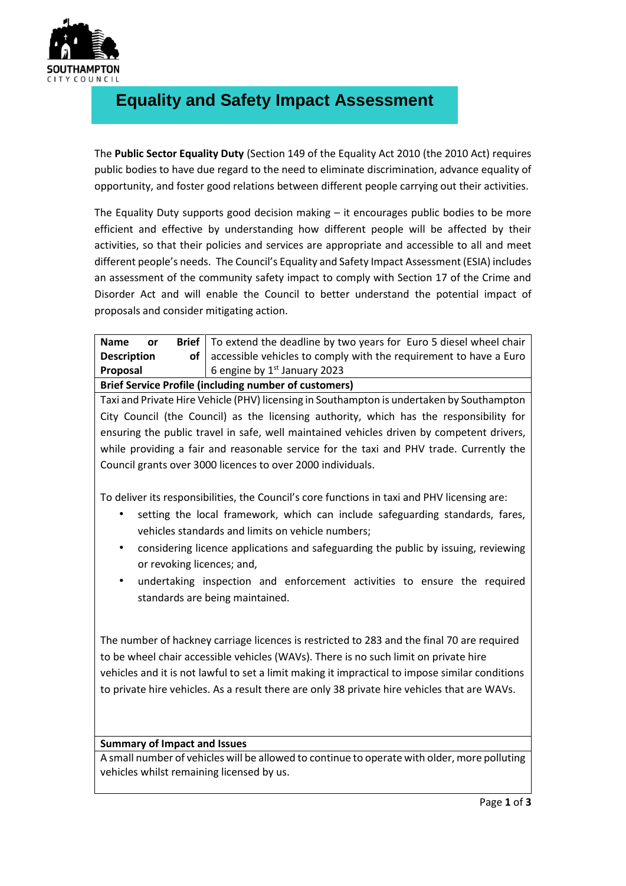

## **Equality and Safety Impact Assessment**

The **Public Sector Equality Duty** (Section 149 of the Equality Act 2010 (the 2010 Act) requires public bodies to have due regard to the need to eliminate discrimination, advance equality of opportunity, and foster good relations between different people carrying out their activities.

The Equality Duty supports good decision making – it encourages public bodies to be more efficient and effective by understanding how different people will be affected by their activities, so that their policies and services are appropriate and accessible to all and meet different people's needs. The Council's Equality and Safety Impact Assessment (ESIA) includes an assessment of the community safety impact to comply with Section 17 of the Crime and Disorder Act and will enable the Council to better understand the potential impact of proposals and consider mitigating action.

| <b>Name</b><br><b>or</b>                                     |  | <b>Brief</b>   To extend the deadline by two years for Euro 5 diesel wheel chair |  |
|--------------------------------------------------------------|--|----------------------------------------------------------------------------------|--|
| <b>Description</b>                                           |  | of $\vert$ accessible vehicles to comply with the requirement to have a Euro     |  |
| Proposal                                                     |  | 6 engine by $1st$ January 2023                                                   |  |
| <b>Brief Service Profile (including number of customers)</b> |  |                                                                                  |  |

Taxi and Private Hire Vehicle (PHV) licensing in Southampton is undertaken by Southampton City Council (the Council) as the licensing authority, which has the responsibility for ensuring the public travel in safe, well maintained vehicles driven by competent drivers, while providing a fair and reasonable service for the taxi and PHV trade. Currently the Council grants over 3000 licences to over 2000 individuals.

To deliver its responsibilities, the Council's core functions in taxi and PHV licensing are:

- setting the local framework, which can include safeguarding standards, fares, vehicles standards and limits on vehicle numbers;
- considering licence applications and safeguarding the public by issuing, reviewing or revoking licences; and,
- undertaking inspection and enforcement activities to ensure the required standards are being maintained.

The number of hackney carriage licences is restricted to 283 and the final 70 are required to be wheel chair accessible vehicles (WAVs). There is no such limit on private hire vehicles and it is not lawful to set a limit making it impractical to impose similar conditions to private hire vehicles. As a result there are only 38 private hire vehicles that are WAVs.

## **Summary of Impact and Issues**

A small number of vehicles will be allowed to continue to operate with older, more polluting vehicles whilst remaining licensed by us.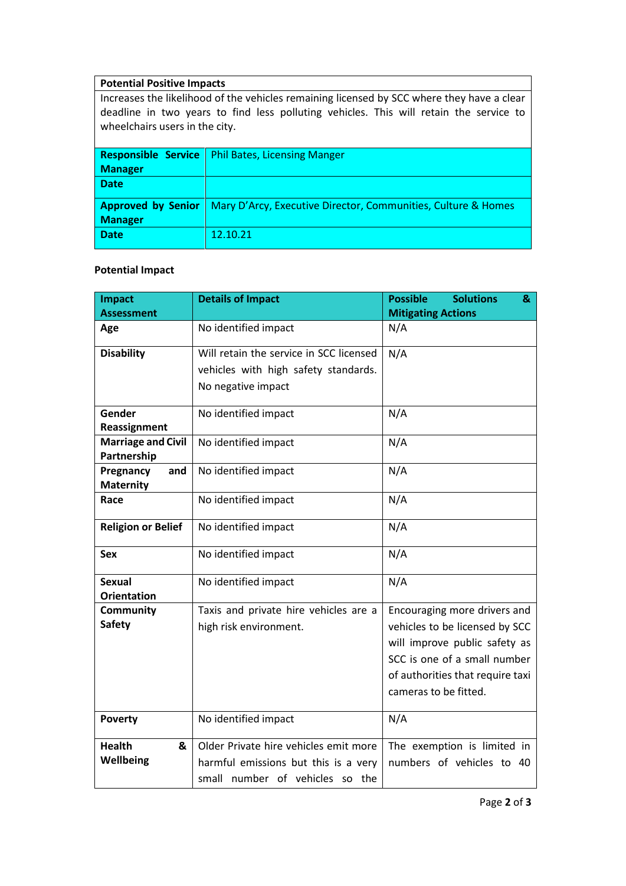## **Potential Positive Impacts**

Increases the likelihood of the vehicles remaining licensed by SCC where they have a clear deadline in two years to find less polluting vehicles. This will retain the service to wheelchairs users in the city.

|                | <b>Responsible Service</b>   Phil Bates, Licensing Manger                               |
|----------------|-----------------------------------------------------------------------------------------|
| Manager        |                                                                                         |
| <b>Date</b>    |                                                                                         |
|                | <b>Approved by Senior</b> Mary D'Arcy, Executive Director, Communities, Culture & Homes |
| <b>Manager</b> |                                                                                         |
| <b>Date</b>    | 12.10.21                                                                                |
|                |                                                                                         |

## **Potential Impact**

| Impact                    | <b>Details of Impact</b>                | <b>Possible</b><br><b>Solutions</b><br>& |
|---------------------------|-----------------------------------------|------------------------------------------|
| <b>Assessment</b>         |                                         | <b>Mitigating Actions</b>                |
| Age                       | No identified impact                    | N/A                                      |
| <b>Disability</b>         | Will retain the service in SCC licensed | N/A                                      |
|                           | vehicles with high safety standards.    |                                          |
|                           | No negative impact                      |                                          |
|                           |                                         |                                          |
| Gender                    | No identified impact                    | N/A                                      |
| Reassignment              |                                         |                                          |
| <b>Marriage and Civil</b> | No identified impact                    | N/A                                      |
| Partnership               |                                         |                                          |
| Pregnancy<br>and          | No identified impact                    | N/A                                      |
| <b>Maternity</b>          |                                         |                                          |
| Race                      | No identified impact                    | N/A                                      |
| <b>Religion or Belief</b> | No identified impact                    | N/A                                      |
| <b>Sex</b>                | No identified impact                    | N/A                                      |
| <b>Sexual</b>             | No identified impact                    | N/A                                      |
| <b>Orientation</b>        |                                         |                                          |
| Community                 | Taxis and private hire vehicles are a   | Encouraging more drivers and             |
| <b>Safety</b>             | high risk environment.                  | vehicles to be licensed by SCC           |
|                           |                                         | will improve public safety as            |
|                           |                                         | SCC is one of a small number             |
|                           |                                         | of authorities that require taxi         |
|                           |                                         | cameras to be fitted.                    |
|                           |                                         |                                          |
| <b>Poverty</b>            | No identified impact                    | N/A                                      |
| <b>Health</b><br>&        | Older Private hire vehicles emit more   | The exemption is limited in              |
| Wellbeing                 | harmful emissions but this is a very    | numbers of vehicles to 40                |
|                           | small number of vehicles so the         |                                          |